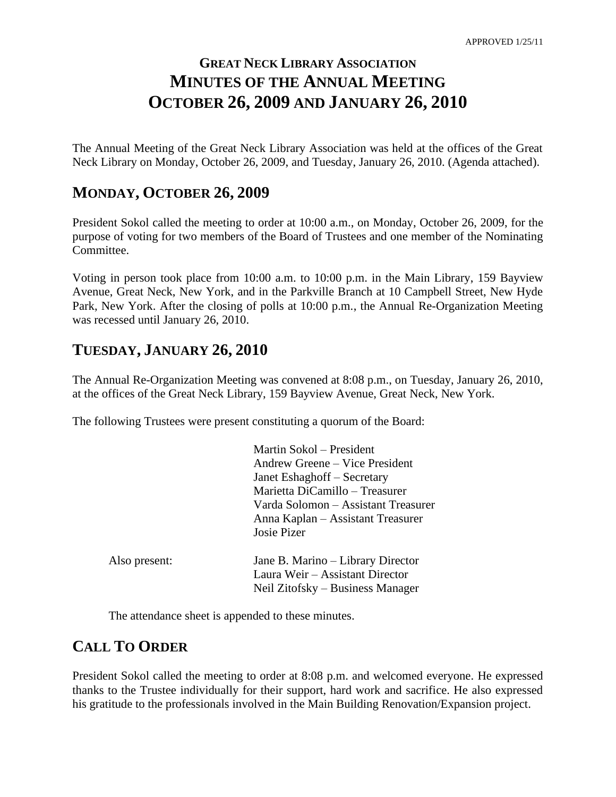# **GREAT NECK LIBRARY ASSOCIATION MINUTES OF THE ANNUAL MEETING OCTOBER 26, 2009 AND JANUARY 26, 2010**

The Annual Meeting of the Great Neck Library Association was held at the offices of the Great Neck Library on Monday, October 26, 2009, and Tuesday, January 26, 2010. (Agenda attached).

### **MONDAY, OCTOBER 26, 2009**

President Sokol called the meeting to order at 10:00 a.m., on Monday, October 26, 2009, for the purpose of voting for two members of the Board of Trustees and one member of the Nominating Committee.

Voting in person took place from 10:00 a.m. to 10:00 p.m. in the Main Library, 159 Bayview Avenue, Great Neck, New York, and in the Parkville Branch at 10 Campbell Street, New Hyde Park, New York. After the closing of polls at 10:00 p.m., the Annual Re-Organization Meeting was recessed until January 26, 2010.

## **TUESDAY, JANUARY 26, 2010**

The Annual Re-Organization Meeting was convened at 8:08 p.m., on Tuesday, January 26, 2010, at the offices of the Great Neck Library, 159 Bayview Avenue, Great Neck, New York.

The following Trustees were present constituting a quorum of the Board:

| Martin Sokol – President            |
|-------------------------------------|
| Andrew Greene – Vice President      |
| Janet Eshaghoff – Secretary         |
| Marietta DiCamillo – Treasurer      |
| Varda Solomon – Assistant Treasurer |
| Anna Kaplan – Assistant Treasurer   |
| Josie Pizer                         |
| Jane B. Marino – Library Director   |
| Laura Weir - Assistant Director     |
| Neil Zitofsky – Business Manager    |
|                                     |

The attendance sheet is appended to these minutes.

## **CALL TO ORDER**

President Sokol called the meeting to order at 8:08 p.m. and welcomed everyone. He expressed thanks to the Trustee individually for their support, hard work and sacrifice. He also expressed his gratitude to the professionals involved in the Main Building Renovation/Expansion project.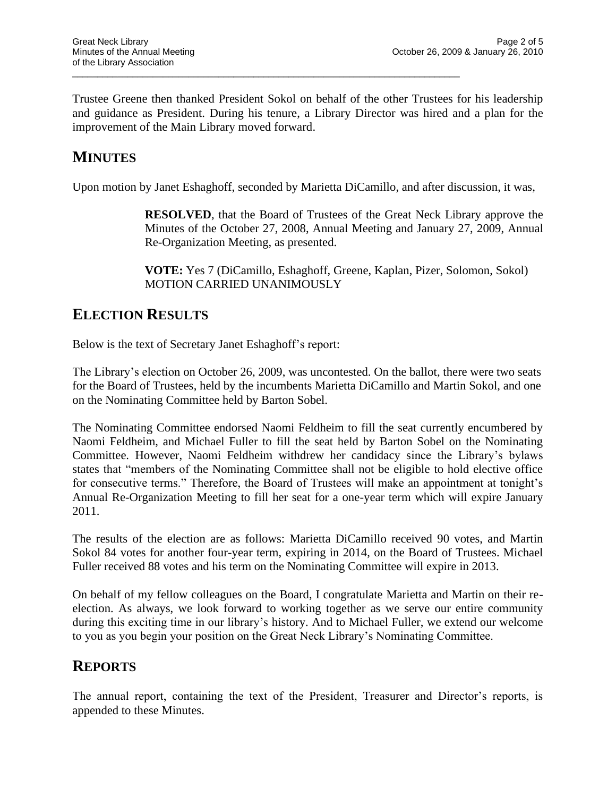Trustee Greene then thanked President Sokol on behalf of the other Trustees for his leadership and guidance as President. During his tenure, a Library Director was hired and a plan for the improvement of the Main Library moved forward.

\_\_\_\_\_\_\_\_\_\_\_\_\_\_\_\_\_\_\_\_\_\_\_\_\_\_\_\_\_\_\_\_\_\_\_\_\_\_\_\_\_\_\_\_\_\_\_\_\_\_\_\_\_\_\_\_\_\_\_\_\_\_\_\_\_\_\_\_\_\_\_\_\_\_\_\_\_

## **MINUTES**

Upon motion by Janet Eshaghoff, seconded by Marietta DiCamillo, and after discussion, it was,

**RESOLVED**, that the Board of Trustees of the Great Neck Library approve the Minutes of the October 27, 2008, Annual Meeting and January 27, 2009, Annual Re-Organization Meeting, as presented.

**VOTE:** Yes 7 (DiCamillo, Eshaghoff, Greene, Kaplan, Pizer, Solomon, Sokol) MOTION CARRIED UNANIMOUSLY

### **ELECTION RESULTS**

Below is the text of Secretary Janet Eshaghoff's report:

The Library's election on October 26, 2009, was uncontested. On the ballot, there were two seats for the Board of Trustees, held by the incumbents Marietta DiCamillo and Martin Sokol, and one on the Nominating Committee held by Barton Sobel.

The Nominating Committee endorsed Naomi Feldheim to fill the seat currently encumbered by Naomi Feldheim, and Michael Fuller to fill the seat held by Barton Sobel on the Nominating Committee. However, Naomi Feldheim withdrew her candidacy since the Library's bylaws states that "members of the Nominating Committee shall not be eligible to hold elective office for consecutive terms." Therefore, the Board of Trustees will make an appointment at tonight's Annual Re-Organization Meeting to fill her seat for a one-year term which will expire January 2011.

The results of the election are as follows: Marietta DiCamillo received 90 votes, and Martin Sokol 84 votes for another four-year term, expiring in 2014, on the Board of Trustees. Michael Fuller received 88 votes and his term on the Nominating Committee will expire in 2013.

On behalf of my fellow colleagues on the Board, I congratulate Marietta and Martin on their reelection. As always, we look forward to working together as we serve our entire community during this exciting time in our library's history. And to Michael Fuller, we extend our welcome to you as you begin your position on the Great Neck Library's Nominating Committee.

### **REPORTS**

The annual report, containing the text of the President, Treasurer and Director's reports, is appended to these Minutes.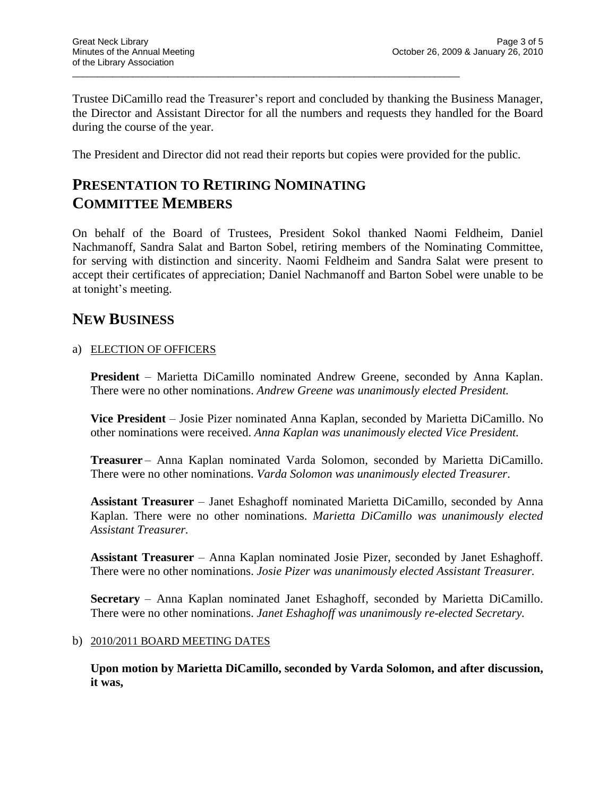Trustee DiCamillo read the Treasurer's report and concluded by thanking the Business Manager, the Director and Assistant Director for all the numbers and requests they handled for the Board during the course of the year.

The President and Director did not read their reports but copies were provided for the public.

\_\_\_\_\_\_\_\_\_\_\_\_\_\_\_\_\_\_\_\_\_\_\_\_\_\_\_\_\_\_\_\_\_\_\_\_\_\_\_\_\_\_\_\_\_\_\_\_\_\_\_\_\_\_\_\_\_\_\_\_\_\_\_\_\_\_\_\_\_\_\_\_\_\_\_\_\_

## **PRESENTATION TO RETIRING NOMINATING COMMITTEE MEMBERS**

On behalf of the Board of Trustees, President Sokol thanked Naomi Feldheim, Daniel Nachmanoff, Sandra Salat and Barton Sobel, retiring members of the Nominating Committee, for serving with distinction and sincerity. Naomi Feldheim and Sandra Salat were present to accept their certificates of appreciation; Daniel Nachmanoff and Barton Sobel were unable to be at tonight's meeting.

## **NEW BUSINESS**

#### a) ELECTION OF OFFICERS

**President** – Marietta DiCamillo nominated Andrew Greene, seconded by Anna Kaplan. There were no other nominations. *Andrew Greene was unanimously elected President.*

**Vice President** – Josie Pizer nominated Anna Kaplan, seconded by Marietta DiCamillo. No other nominations were received. *Anna Kaplan was unanimously elected Vice President.*

**Treasurer** – Anna Kaplan nominated Varda Solomon, seconded by Marietta DiCamillo. There were no other nominations. *Varda Solomon was unanimously elected Treasurer*.

**Assistant Treasurer** – Janet Eshaghoff nominated Marietta DiCamillo, seconded by Anna Kaplan. There were no other nominations. *Marietta DiCamillo was unanimously elected Assistant Treasurer.*

**Assistant Treasurer** – Anna Kaplan nominated Josie Pizer, seconded by Janet Eshaghoff. There were no other nominations. *Josie Pizer was unanimously elected Assistant Treasurer.*

**Secretary** – Anna Kaplan nominated Janet Eshaghoff, seconded by Marietta DiCamillo. There were no other nominations. *Janet Eshaghoff was unanimously re-elected Secretary.*

#### b) 2010/2011 BOARD MEETING DATES

**Upon motion by Marietta DiCamillo, seconded by Varda Solomon, and after discussion, it was,**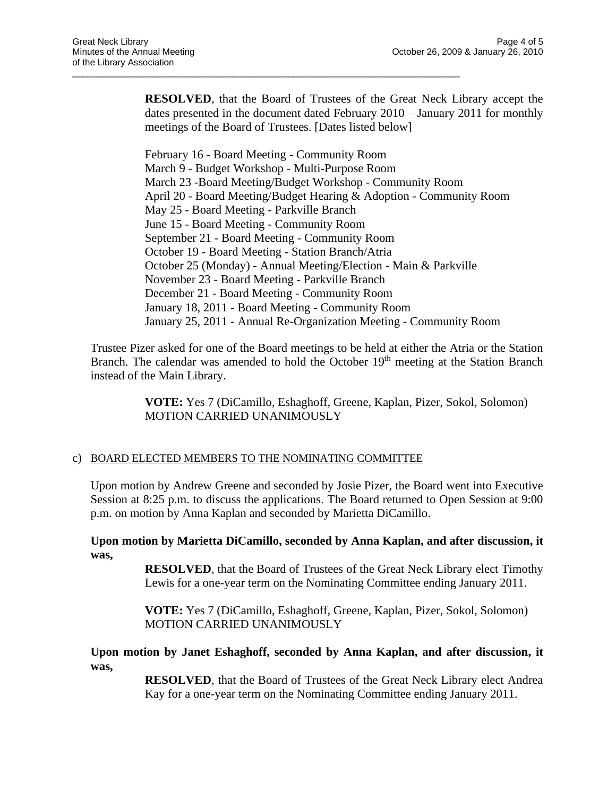**RESOLVED**, that the Board of Trustees of the Great Neck Library accept the dates presented in the document dated February 2010 – January 2011 for monthly meetings of the Board of Trustees. [Dates listed below]

\_\_\_\_\_\_\_\_\_\_\_\_\_\_\_\_\_\_\_\_\_\_\_\_\_\_\_\_\_\_\_\_\_\_\_\_\_\_\_\_\_\_\_\_\_\_\_\_\_\_\_\_\_\_\_\_\_\_\_\_\_\_\_\_\_\_\_\_\_\_\_\_\_\_\_\_\_

February 16 - Board Meeting - Community Room March 9 - Budget Workshop - Multi-Purpose Room March 23 -Board Meeting/Budget Workshop - Community Room April 20 - Board Meeting/Budget Hearing & Adoption - Community Room May 25 - Board Meeting - Parkville Branch June 15 - Board Meeting - Community Room September 21 - Board Meeting - Community Room October 19 - Board Meeting - Station Branch/Atria October 25 (Monday) - Annual Meeting/Election - Main & Parkville November 23 - Board Meeting - Parkville Branch December 21 - Board Meeting - Community Room January 18, 2011 - Board Meeting - Community Room January 25, 2011 - Annual Re-Organization Meeting - Community Room

Trustee Pizer asked for one of the Board meetings to be held at either the Atria or the Station Branch. The calendar was amended to hold the October 19<sup>th</sup> meeting at the Station Branch instead of the Main Library.

> **VOTE:** Yes 7 (DiCamillo, Eshaghoff, Greene, Kaplan, Pizer, Sokol, Solomon) MOTION CARRIED UNANIMOUSLY

#### c) BOARD ELECTED MEMBERS TO THE NOMINATING COMMITTEE

Upon motion by Andrew Greene and seconded by Josie Pizer, the Board went into Executive Session at 8:25 p.m. to discuss the applications. The Board returned to Open Session at 9:00 p.m. on motion by Anna Kaplan and seconded by Marietta DiCamillo.

**Upon motion by Marietta DiCamillo, seconded by Anna Kaplan, and after discussion, it was,**

> **RESOLVED**, that the Board of Trustees of the Great Neck Library elect Timothy Lewis for a one-year term on the Nominating Committee ending January 2011.

**VOTE:** Yes 7 (DiCamillo, Eshaghoff, Greene, Kaplan, Pizer, Sokol, Solomon) MOTION CARRIED UNANIMOUSLY

#### **Upon motion by Janet Eshaghoff, seconded by Anna Kaplan, and after discussion, it was,**

**RESOLVED**, that the Board of Trustees of the Great Neck Library elect Andrea Kay for a one-year term on the Nominating Committee ending January 2011.